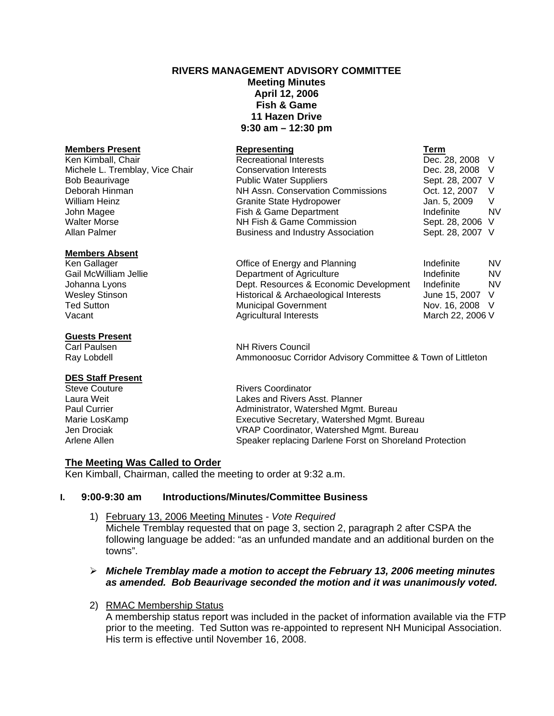# **RIVERS MANAGEMENT ADVISORY COMMITTEE**

**Meeting Minutes April 12, 2006 Fish & Game 11 Hazen Drive 9:30 am – 12:30 pm** 

| <b>Members Present</b>          | Representing                             | Term             |           |
|---------------------------------|------------------------------------------|------------------|-----------|
| Ken Kimball, Chair              | <b>Recreational Interests</b>            | Dec. 28, 2008 V  |           |
| Michele L. Tremblay, Vice Chair | <b>Conservation Interests</b>            | Dec. 28, 2008    | - V       |
| <b>Bob Beaurivage</b>           | <b>Public Water Suppliers</b>            | Sept. 28, 2007 V |           |
| Deborah Hinman                  | NH Assn. Conservation Commissions        | Oct. 12, 2007    | V         |
| William Heinz                   | Granite State Hydropower                 | Jan. 5, 2009     | V         |
| John Magee                      | Fish & Game Department                   | Indefinite       | <b>NV</b> |
| <b>Walter Morse</b>             | NH Fish & Game Commission                | Sept. 28, 2006 V |           |
| Allan Palmer                    | <b>Business and Industry Association</b> | Sept. 28, 2007 V |           |
| <b>Members Absent</b>           |                                          |                  |           |
| Ken Gallager                    | Office of Energy and Planning            | Indefinite       | NV.       |
| Gail McWilliam Jellie           | Department of Agriculture                | Indefinite       | <b>NV</b> |
| Johanna Lyons                   | Dept. Resources & Economic Development   | Indefinite       | <b>NV</b> |
| <b>Wesley Stinson</b>           | Historical & Archaeological Interests    | June 15, 2007    | V         |
| <b>Ted Sutton</b>               | <b>Municipal Government</b>              | Nov. 16, 2008    | - V       |
| Vacant                          | <b>Agricultural Interests</b>            | March 22, 2006 V |           |
| <b>Guests Present</b>           |                                          |                  |           |
| Carl Paulsen                    | <b>NH Rivers Council</b>                 |                  |           |

Ray Lobdell **Ammonoosuc Corridor Advisory Committee & Town of Littleton** 

#### **DES Staff Present**

Steve Couture **Rivers** Coordinator Laura Weit Lakes and Rivers Asst. Planner Paul Currier **Administrator**, Watershed Mgmt. Bureau<br>Marie LosKamp **Administrator, Watershed Mgmt.** Executive Secretary, Watershed Mgmt. E Executive Secretary, Watershed Mgmt. Bureau Jen Drociak VRAP Coordinator, Watershed Mgmt. Bureau Arlene Allen Speaker replacing Darlene Forst on Shoreland Protection

#### **The Meeting Was Called to Order**

Ken Kimball, Chairman, called the meeting to order at 9:32 a.m.

#### **I. 9:00-9:30 am Introductions/Minutes/Committee Business**

- 1) February 13, 2006 Meeting Minutes *Vote Required*  Michele Tremblay requested that on page 3, section 2, paragraph 2 after CSPA the following language be added: "as an unfunded mandate and an additional burden on the towns".
- ¾ *Michele Tremblay made a motion to accept the February 13, 2006 meeting minutes as amended. Bob Beaurivage seconded the motion and it was unanimously voted.*

#### 2) RMAC Membership Status

A membership status report was included in the packet of information available via the FTP prior to the meeting. Ted Sutton was re-appointed to represent NH Municipal Association. His term is effective until November 16, 2008.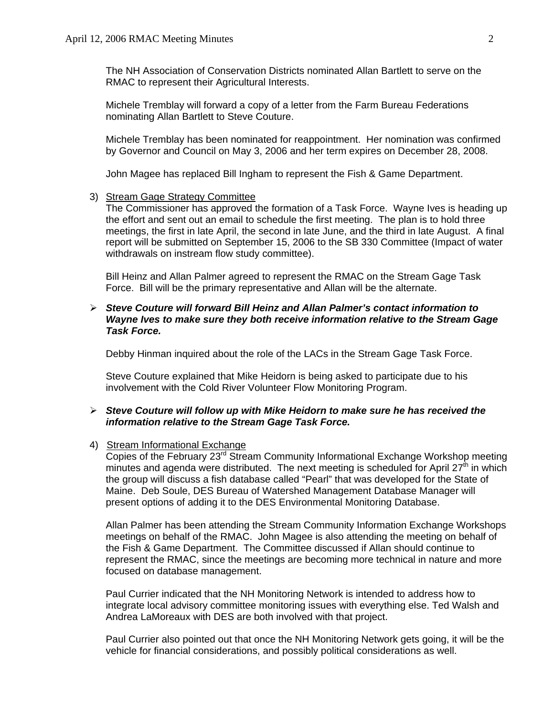The NH Association of Conservation Districts nominated Allan Bartlett to serve on the RMAC to represent their Agricultural Interests.

Michele Tremblay will forward a copy of a letter from the Farm Bureau Federations nominating Allan Bartlett to Steve Couture.

Michele Tremblay has been nominated for reappointment. Her nomination was confirmed by Governor and Council on May 3, 2006 and her term expires on December 28, 2008.

John Magee has replaced Bill Ingham to represent the Fish & Game Department.

## 3) Stream Gage Strategy Committee

The Commissioner has approved the formation of a Task Force. Wayne Ives is heading up the effort and sent out an email to schedule the first meeting. The plan is to hold three meetings, the first in late April, the second in late June, and the third in late August. A final report will be submitted on September 15, 2006 to the SB 330 Committee (Impact of water withdrawals on instream flow study committee).

Bill Heinz and Allan Palmer agreed to represent the RMAC on the Stream Gage Task Force. Bill will be the primary representative and Allan will be the alternate.

### ¾ *Steve Couture will forward Bill Heinz and Allan Palmer's contact information to Wayne Ives to make sure they both receive information relative to the Stream Gage Task Force.*

Debby Hinman inquired about the role of the LACs in the Stream Gage Task Force.

Steve Couture explained that Mike Heidorn is being asked to participate due to his involvement with the Cold River Volunteer Flow Monitoring Program.

#### ¾ *Steve Couture will follow up with Mike Heidorn to make sure he has received the information relative to the Stream Gage Task Force.*

#### 4) Stream Informational Exchange

Copies of the February 23rd Stream Community Informational Exchange Workshop meeting minutes and agenda were distributed. The next meeting is scheduled for April 27<sup>th</sup> in which the group will discuss a fish database called "Pearl" that was developed for the State of Maine. Deb Soule, DES Bureau of Watershed Management Database Manager will present options of adding it to the DES Environmental Monitoring Database.

Allan Palmer has been attending the Stream Community Information Exchange Workshops meetings on behalf of the RMAC. John Magee is also attending the meeting on behalf of the Fish & Game Department. The Committee discussed if Allan should continue to represent the RMAC, since the meetings are becoming more technical in nature and more focused on database management.

Paul Currier indicated that the NH Monitoring Network is intended to address how to integrate local advisory committee monitoring issues with everything else. Ted Walsh and Andrea LaMoreaux with DES are both involved with that project.

Paul Currier also pointed out that once the NH Monitoring Network gets going, it will be the vehicle for financial considerations, and possibly political considerations as well.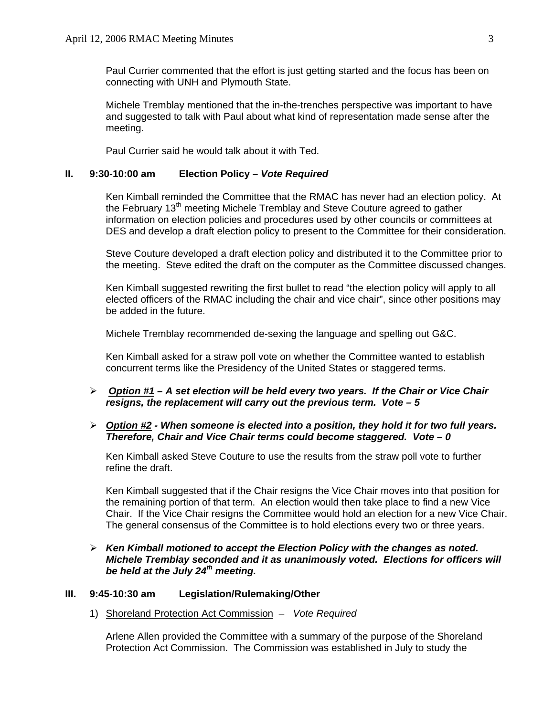Paul Currier commented that the effort is just getting started and the focus has been on connecting with UNH and Plymouth State.

Michele Tremblay mentioned that the in-the-trenches perspective was important to have and suggested to talk with Paul about what kind of representation made sense after the meeting.

Paul Currier said he would talk about it with Ted.

### **II. 9:30-10:00 am Election Policy –** *Vote Required*

 Ken Kimball reminded the Committee that the RMAC has never had an election policy. At the February  $13<sup>th</sup>$  meeting Michele Tremblay and Steve Couture agreed to gather information on election policies and procedures used by other councils or committees at DES and develop a draft election policy to present to the Committee for their consideration.

 Steve Couture developed a draft election policy and distributed it to the Committee prior to the meeting. Steve edited the draft on the computer as the Committee discussed changes.

 Ken Kimball suggested rewriting the first bullet to read "the election policy will apply to all elected officers of the RMAC including the chair and vice chair", since other positions may be added in the future.

Michele Tremblay recommended de-sexing the language and spelling out G&C.

Ken Kimball asked for a straw poll vote on whether the Committee wanted to establish concurrent terms like the Presidency of the United States or staggered terms.

¾ *Option #1 – A set election will be held every two years. If the Chair or Vice Chair resigns, the replacement will carry out the previous term. Vote – 5* 

# ¾ *Option #2 - When someone is elected into a position, they hold it for two full years. Therefore, Chair and Vice Chair terms could become staggered. Vote – 0*

Ken Kimball asked Steve Couture to use the results from the straw poll vote to further refine the draft.

Ken Kimball suggested that if the Chair resigns the Vice Chair moves into that position for the remaining portion of that term. An election would then take place to find a new Vice Chair. If the Vice Chair resigns the Committee would hold an election for a new Vice Chair. The general consensus of the Committee is to hold elections every two or three years.

### ¾ *Ken Kimball motioned to accept the Election Policy with the changes as noted. Michele Tremblay seconded and it as unanimously voted. Elections for officers will*  be held at the July 24<sup>th</sup> meeting.

#### **III. 9:45-10:30 am Legislation/Rulemaking/Other**

1) Shoreland Protection Act Commission *– Vote Required*

Arlene Allen provided the Committee with a summary of the purpose of the Shoreland Protection Act Commission. The Commission was established in July to study the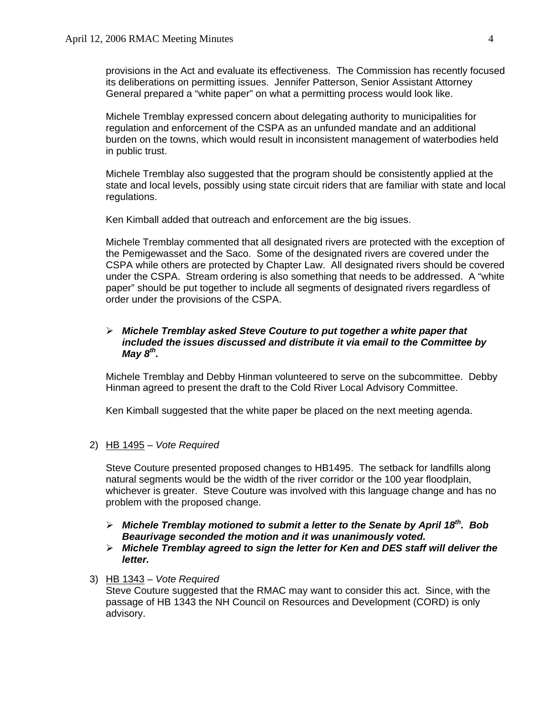provisions in the Act and evaluate its effectiveness. The Commission has recently focused its deliberations on permitting issues. Jennifer Patterson, Senior Assistant Attorney General prepared a "white paper" on what a permitting process would look like.

Michele Tremblay expressed concern about delegating authority to municipalities for regulation and enforcement of the CSPA as an unfunded mandate and an additional burden on the towns, which would result in inconsistent management of waterbodies held in public trust.

Michele Tremblay also suggested that the program should be consistently applied at the state and local levels, possibly using state circuit riders that are familiar with state and local regulations.

Ken Kimball added that outreach and enforcement are the big issues.

Michele Tremblay commented that all designated rivers are protected with the exception of the Pemigewasset and the Saco. Some of the designated rivers are covered under the CSPA while others are protected by Chapter Law. All designated rivers should be covered under the CSPA. Stream ordering is also something that needs to be addressed. A "white paper" should be put together to include all segments of designated rivers regardless of order under the provisions of the CSPA.

### ¾ *Michele Tremblay asked Steve Couture to put together a white paper that included the issues discussed and distribute it via email to the Committee by May 8th.*

Michele Tremblay and Debby Hinman volunteered to serve on the subcommittee. Debby Hinman agreed to present the draft to the Cold River Local Advisory Committee.

Ken Kimball suggested that the white paper be placed on the next meeting agenda.

2) HB 1495 – *Vote Required*

Steve Couture presented proposed changes to HB1495. The setback for landfills along natural segments would be the width of the river corridor or the 100 year floodplain, whichever is greater. Steve Couture was involved with this language change and has no problem with the proposed change.

## ¾ *Michele Tremblay motioned to submit a letter to the Senate by April 18th. Bob Beaurivage seconded the motion and it was unanimously voted.*

¾ *Michele Tremblay agreed to sign the letter for Ken and DES staff will deliver the letter.* 

### 3) HB 1343 – *Vote Required*

Steve Couture suggested that the RMAC may want to consider this act. Since, with the passage of HB 1343 the NH Council on Resources and Development (CORD) is only advisory.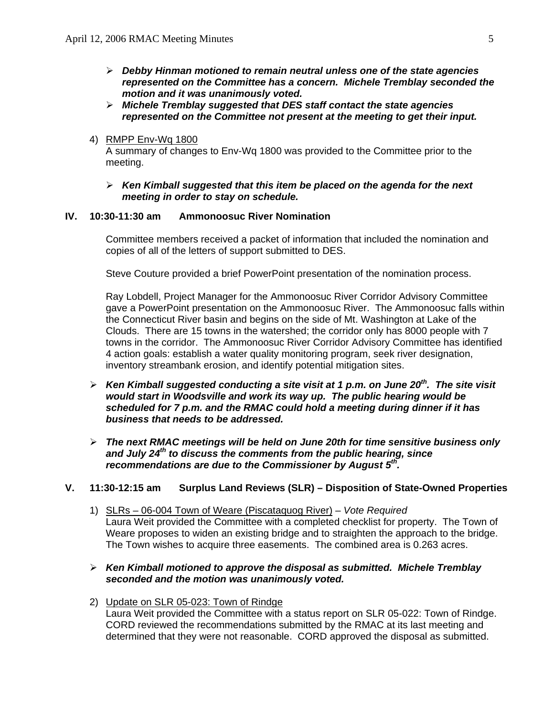- ¾ *Debby Hinman motioned to remain neutral unless one of the state agencies represented on the Committee has a concern. Michele Tremblay seconded the motion and it was unanimously voted.*
- ¾ *Michele Tremblay suggested that DES staff contact the state agencies represented on the Committee not present at the meeting to get their input.*
- 4) RMPP Env-Wq 1800

A summary of changes to Env-Wq 1800 was provided to the Committee prior to the meeting.

#### ¾ *Ken Kimball suggested that this item be placed on the agenda for the next meeting in order to stay on schedule.*

#### **IV. 10:30-11:30 am Ammonoosuc River Nomination**

Committee members received a packet of information that included the nomination and copies of all of the letters of support submitted to DES.

Steve Couture provided a brief PowerPoint presentation of the nomination process.

Ray Lobdell, Project Manager for the Ammonoosuc River Corridor Advisory Committee gave a PowerPoint presentation on the Ammonoosuc River. The Ammonoosuc falls within the Connecticut River basin and begins on the side of Mt. Washington at Lake of the Clouds. There are 15 towns in the watershed; the corridor only has 8000 people with 7 towns in the corridor. The Ammonoosuc River Corridor Advisory Committee has identified 4 action goals: establish a water quality monitoring program, seek river designation, inventory streambank erosion, and identify potential mitigation sites.

- ¾ *Ken Kimball suggested conducting a site visit at 1 p.m. on June 20th. The site visit would start in Woodsville and work its way up. The public hearing would be scheduled for 7 p.m. and the RMAC could hold a meeting during dinner if it has business that needs to be addressed.*
- ¾ *The next RMAC meetings will be held on June 20th for time sensitive business only and July 24th to discuss the comments from the public hearing, since recommendations are due to the Commissioner by August 5th.*

#### **V. 11:30-12:15 am Surplus Land Reviews (SLR) – Disposition of State-Owned Properties**

- 1) SLRs 06-004 Town of Weare (Piscataquog River) *Vote Required*  Laura Weit provided the Committee with a completed checklist for property. The Town of Weare proposes to widen an existing bridge and to straighten the approach to the bridge. The Town wishes to acquire three easements. The combined area is 0.263 acres.
- ¾ *Ken Kimball motioned to approve the disposal as submitted. Michele Tremblay seconded and the motion was unanimously voted.*
- 2) Update on SLR 05-023: Town of Rindge Laura Weit provided the Committee with a status report on SLR 05-022: Town of Rindge. CORD reviewed the recommendations submitted by the RMAC at its last meeting and determined that they were not reasonable. CORD approved the disposal as submitted.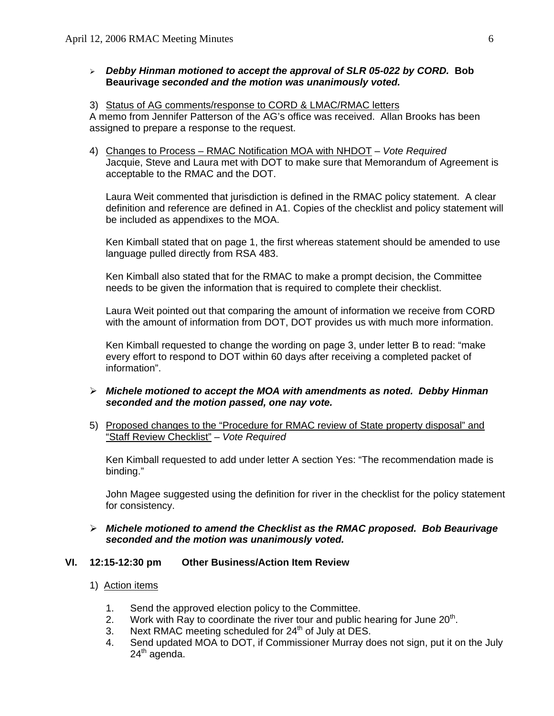### ¾ *Debby Hinman motioned to accept the approval of SLR 05-022 by CORD.* **Bob Beaurivage** *seconded and the motion was unanimously voted.*

#### 3) Status of AG comments/response to CORD & LMAC/RMAC letters

A memo from Jennifer Patterson of the AG's office was received. Allan Brooks has been assigned to prepare a response to the request.

4) Changes to Process – RMAC Notification MOA with NHDOT – *Vote Required* Jacquie, Steve and Laura met with DOT to make sure that Memorandum of Agreement is acceptable to the RMAC and the DOT.

Laura Weit commented that jurisdiction is defined in the RMAC policy statement. A clear definition and reference are defined in A1. Copies of the checklist and policy statement will be included as appendixes to the MOA.

Ken Kimball stated that on page 1, the first whereas statement should be amended to use language pulled directly from RSA 483.

Ken Kimball also stated that for the RMAC to make a prompt decision, the Committee needs to be given the information that is required to complete their checklist.

Laura Weit pointed out that comparing the amount of information we receive from CORD with the amount of information from DOT, DOT provides us with much more information.

Ken Kimball requested to change the wording on page 3, under letter B to read: "make every effort to respond to DOT within 60 days after receiving a completed packet of information".

- ¾ *Michele motioned to accept the MOA with amendments as noted. Debby Hinman seconded and the motion passed, one nay vote.*
- 5) Proposed changes to the "Procedure for RMAC review of State property disposal" and "Staff Review Checklist" – *Vote Required*

Ken Kimball requested to add under letter A section Yes: "The recommendation made is binding."

John Magee suggested using the definition for river in the checklist for the policy statement for consistency.

## ¾ *Michele motioned to amend the Checklist as the RMAC proposed. Bob Beaurivage seconded and the motion was unanimously voted.*

#### **VI. 12:15-12:30 pm Other Business/Action Item Review**

- 1) Action items
	- 1. Send the approved election policy to the Committee.
	- 2. Work with Ray to coordinate the river tour and public hearing for June  $20<sup>th</sup>$ .
	- 3. Next RMAC meeting scheduled for  $24<sup>th</sup>$  of July at DES.
	- 4. Send updated MOA to DOT, if Commissioner Murray does not sign, put it on the July  $24<sup>th</sup>$  agenda.